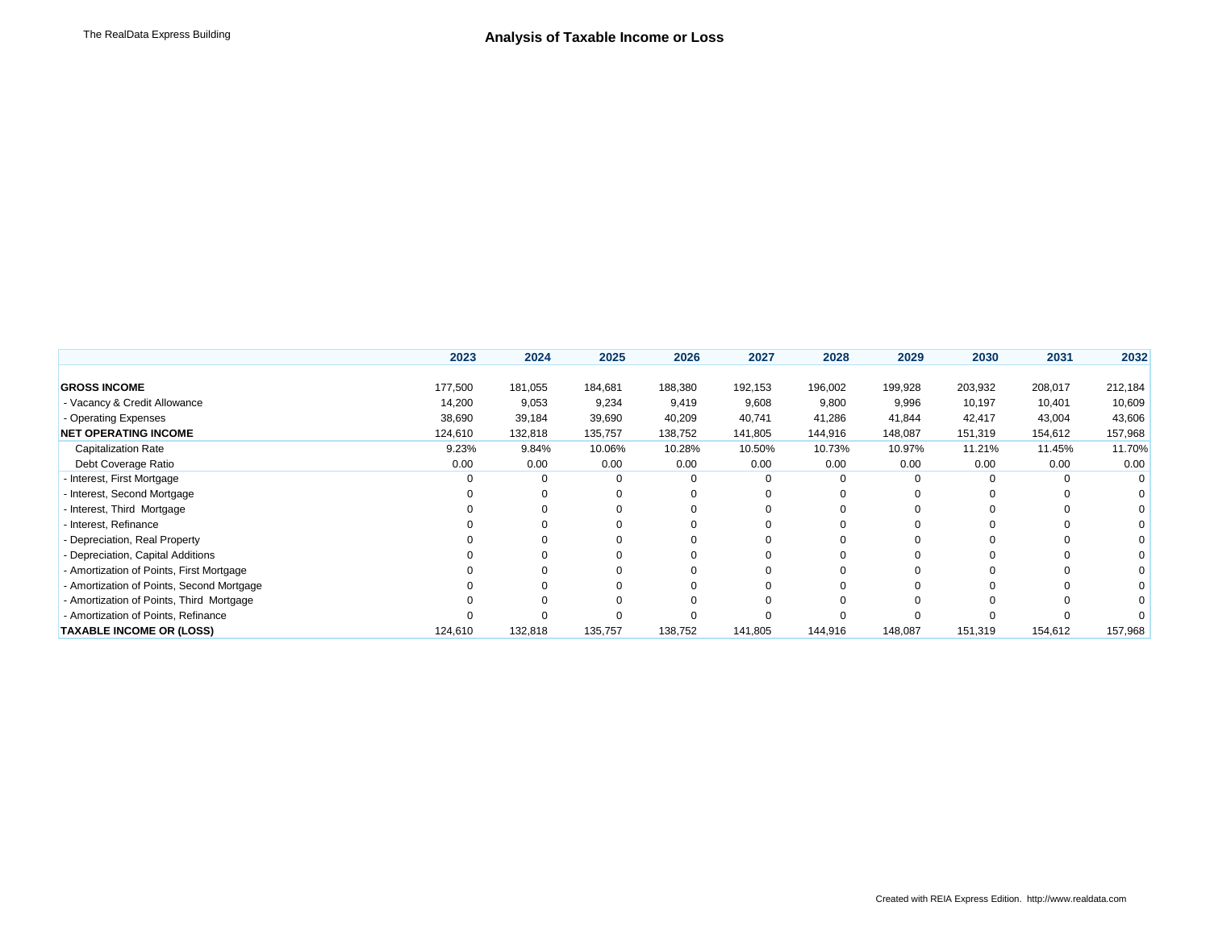|                                           | 2023    | 2024    | 2025     | 2026    | 2027    | 2028    | 2029    | 2030    | 2031    | 2032     |
|-------------------------------------------|---------|---------|----------|---------|---------|---------|---------|---------|---------|----------|
|                                           |         |         |          |         |         |         |         |         |         |          |
| <b>GROSS INCOME</b>                       | 177,500 | 181,055 | 184,681  | 188,380 | 192,153 | 196,002 | 199,928 | 203,932 | 208,017 | 212,184  |
| - Vacancy & Credit Allowance              | 14,200  | 9,053   | 9,234    | 9,419   | 9,608   | 9,800   | 9,996   | 10,197  | 10,401  | 10,609   |
| - Operating Expenses                      | 38,690  | 39,184  | 39,690   | 40,209  | 40,741  | 41,286  | 41,844  | 42,417  | 43,004  | 43,606   |
| <b>NET OPERATING INCOME</b>               | 124,610 | 132,818 | 135,757  | 138,752 | 141,805 | 144,916 | 148,087 | 151,319 | 154,612 | 157,968  |
| <b>Capitalization Rate</b>                | 9.23%   | 9.84%   | 10.06%   | 10.28%  | 10.50%  | 10.73%  | 10.97%  | 11.21%  | 11.45%  | 11.70%   |
| Debt Coverage Ratio                       | 0.00    | 0.00    | 0.00     | 0.00    | 0.00    | 0.00    | 0.00    | 0.00    | 0.00    | 0.00     |
| Interest, First Mortgage                  |         |         | 0        |         |         |         |         |         |         | $\Omega$ |
| Interest, Second Mortgage                 |         |         | 0        |         |         |         |         |         |         |          |
| Interest, Third Mortgage                  |         |         | 0        |         |         |         |         |         |         |          |
| Interest, Refinance                       |         |         |          |         |         |         |         |         |         |          |
| - Depreciation, Real Property             |         |         |          |         |         |         |         |         |         |          |
| - Depreciation, Capital Additions         |         |         |          |         |         |         |         |         |         |          |
| - Amortization of Points, First Mortgage  |         |         |          |         |         |         |         |         |         |          |
| - Amortization of Points, Second Mortgage |         |         | $\Omega$ |         |         |         |         |         |         |          |
| - Amortization of Points, Third Mortgage  |         |         | $\Omega$ |         |         |         |         |         |         |          |
| - Amortization of Points, Refinance       |         |         |          |         |         |         |         |         |         |          |
| <b>TAXABLE INCOME OR (LOSS)</b>           | 124,610 | 132,818 | 135,757  | 138,752 | 141,805 | 144,916 | 148,087 | 151,319 | 154,612 | 157,968  |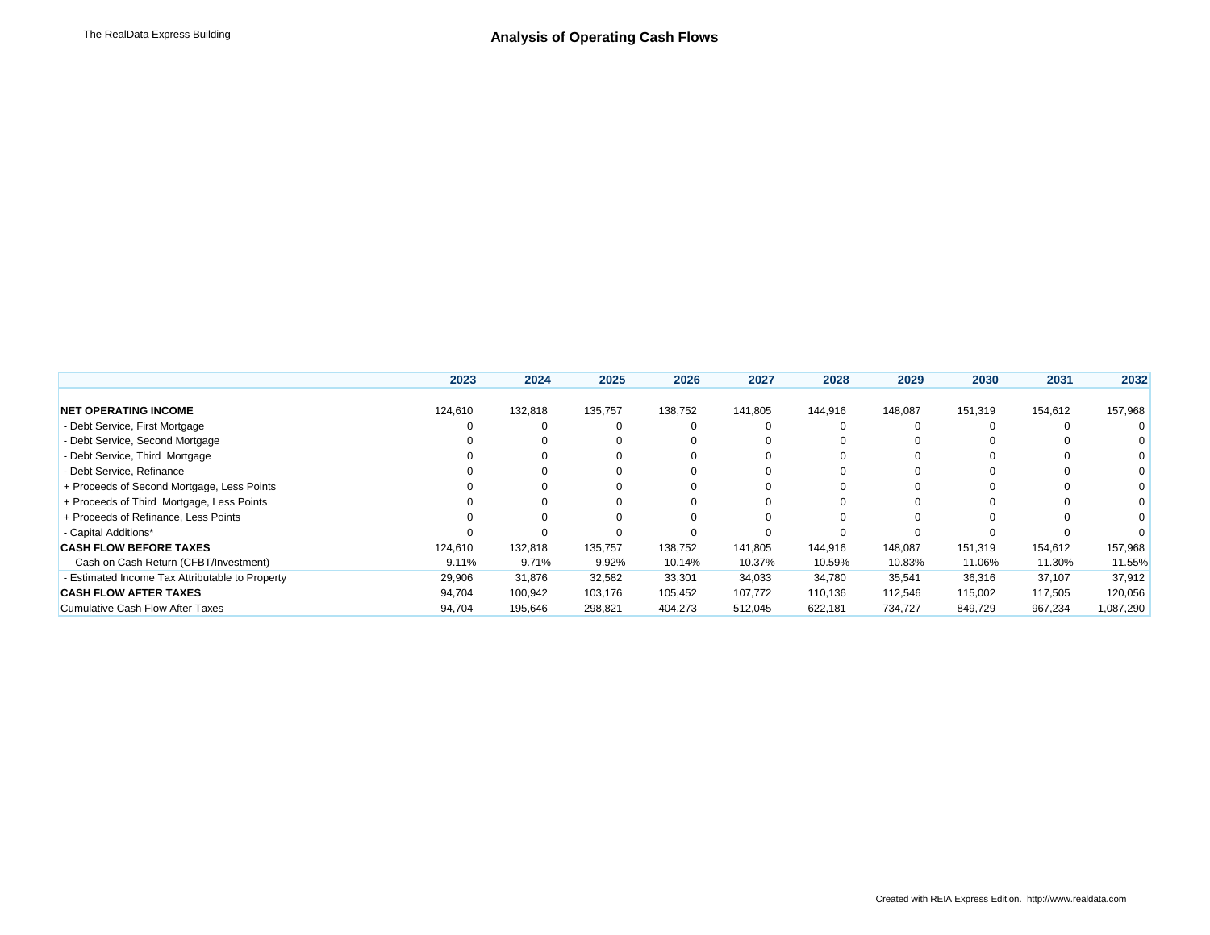|                                                 | 2023    | 2024    | 2025    | 2026    | 2027     | 2028    | 2029    | 2030    | 2031    | 2032      |
|-------------------------------------------------|---------|---------|---------|---------|----------|---------|---------|---------|---------|-----------|
|                                                 |         |         |         |         |          |         |         |         |         |           |
| <b>NET OPERATING INCOME</b>                     | 124,610 | 132,818 | 135,757 | 138,752 | 141,805  | 144,916 | 148,087 | 151,319 | 154,612 | 157,968   |
| - Debt Service, First Mortgage                  |         |         |         |         |          |         |         |         |         | 0         |
| - Debt Service, Second Mortgage                 |         |         |         |         |          |         |         |         |         |           |
| - Debt Service, Third Mortgage                  |         |         |         |         |          |         |         |         |         | 0         |
| - Debt Service, Refinance                       |         | 0       | 0       |         | $\Omega$ |         |         |         |         | $\Omega$  |
| + Proceeds of Second Mortgage, Less Points      |         |         |         |         |          |         |         |         |         | $\Omega$  |
| + Proceeds of Third Mortgage, Less Points       |         | 0       |         |         | $\Omega$ |         |         |         |         | 0         |
| + Proceeds of Refinance, Less Points            |         |         |         |         |          |         |         |         |         | 0         |
| - Capital Additions*                            |         |         |         |         |          |         |         |         |         |           |
| <b>CASH FLOW BEFORE TAXES</b>                   | 124,610 | 132,818 | 135,757 | 138,752 | 141,805  | 144,916 | 148,087 | 151,319 | 154,612 | 157,968   |
| Cash on Cash Return (CFBT/Investment)           | 9.11%   | 9.71%   | 9.92%   | 10.14%  | 10.37%   | 10.59%  | 10.83%  | 11.06%  | 11.30%  | 11.55%    |
| - Estimated Income Tax Attributable to Property | 29,906  | 31,876  | 32,582  | 33,301  | 34,033   | 34,780  | 35,541  | 36,316  | 37,107  | 37,912    |
| <b>CASH FLOW AFTER TAXES</b>                    | 94,704  | 100,942 | 103.176 | 105,452 | 107,772  | 110,136 | 112,546 | 115,002 | 117,505 | 120,056   |
| <b>Cumulative Cash Flow After Taxes</b>         | 94,704  | 195,646 | 298,821 | 404,273 | 512,045  | 622,181 | 734,727 | 849,729 | 967,234 | 1,087,290 |